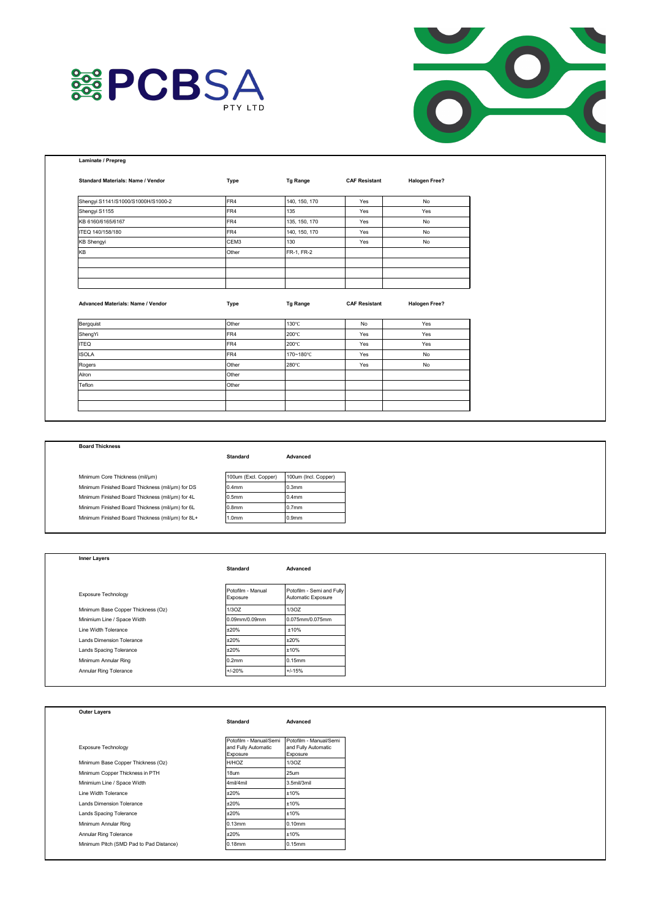



# Laminate / Prepreg

| Standard Materials: Name / Vendor  | <b>Type</b>      | <b>Tg Range</b> | <b>CAF Resistant</b> | <b>Halogen Free?</b> |
|------------------------------------|------------------|-----------------|----------------------|----------------------|
| Shengyi S1141/S1000/S1000H/S1000-2 | FR4              | 140, 150, 170   | Yes                  | No                   |
| Shengyi S1155                      | FR4              | 135             | Yes                  | Yes                  |
| KB 6160/6165/6167                  | FR4              | 135, 150, 170   | Yes                  | No                   |
| ITEQ 140/158/180                   | FR4              | 140, 150, 170   | Yes                  | No                   |
| <b>KB Shengyi</b>                  | CEM <sub>3</sub> | 130             | Yes                  | No                   |
| KB                                 | Other            | FR-1, FR-2      |                      |                      |
|                                    |                  |                 |                      |                      |
|                                    |                  |                 |                      |                      |
|                                    |                  |                 |                      |                      |

# Advanced Materials: Name / Vendor **Type** Tg Range CAF Resistant Halogen Free?

Bergquist Other 130℃ No Yes ShengYi FR4 200℃ Yes Yes ITEQ FR4 200℃ Yes Yes ISOLA FR4 170~180℃ Yes No Rogers Other 280℃ Yes No Alron **Other** Channels **Contained Alron Other** Teflon Other

### Board Thickness

#### Standard **Advanced**

| Minimum Core Thickness (mil/um)                   | 100um (Excl. Copper) | 100um (Incl. Copper) |
|---------------------------------------------------|----------------------|----------------------|
| Minimum Finished Board Thickness (mil/um) for DS  | 0.4 <sub>mm</sub>    | 0.3 <sub>mm</sub>    |
| Minimum Finished Board Thickness (mil/um) for 4L  | 0.5 <sub>mm</sub>    | 0.4 <sub>mm</sub>    |
| Minimum Finished Board Thickness (mil/um) for 6L  | 0.8 <sub>mm</sub>    | 0.7 <sub>mm</sub>    |
| Minimum Finished Board Thickness (mil/um) for 8L+ | 1.0 <sub>mm</sub>    | 0.9 <sub>mm</sub>    |

| 100um (Excl. Copper) | 100um (Incl. Copper) |
|----------------------|----------------------|
| 0.4 <sub>mm</sub>    | 0.3 <sub>mm</sub>    |
| 0.5 <sub>mm</sub>    | 0.4 <sub>mm</sub>    |
| 0.8 <sub>mm</sub>    | 0.7 <sub>mm</sub>    |
| 0 <sub>mm</sub>      | 0.9 <sub>mm</sub>    |

## Inner Layers

#### Standard **Advanced**

| Exposure Technology                | Potofilm - Manual<br>Exposure | Potofilm - Semi and Fully<br>Automatic Exposure |
|------------------------------------|-------------------------------|-------------------------------------------------|
| Minimum Base Copper Thickness (Oz) | 1/3OZ                         | 1/3OZ                                           |
| Minimium Line / Space Width        | 0.09mm/0.09mm                 | 0.075mm/0.075mm                                 |
| Line Width Tolerance               | $+20%$                        | ±10%                                            |
| Lands Dimension Tolerance          | $+20%$                        | $+20%$                                          |
| Lands Spacing Tolerance            | $+20%$                        | $+10%$                                          |
| Minimum Annular Ring               | 0.2 <sub>mm</sub>             | 0.15mm                                          |
| Annular Ring Tolerance             | $+/-20%$                      | $+/-15%$                                        |
|                                    |                               |                                                 |

# Outer Layers

### Standard **Advanced**

|                                         | Potofilm - Manual/Semi          | Potofilm - Manual/S             |
|-----------------------------------------|---------------------------------|---------------------------------|
| Exposure Technology                     | and Fully Automatic<br>Exposure | and Fully Automatic<br>Exposure |
| Minimum Base Copper Thickness (Oz)      | H/HOZ                           | 1/3OZ                           |
| Minimum Copper Thickness in PTH         | 18um                            | 25um                            |
| Minimium Line / Space Width             | 4mil/4mil                       | 3.5mil/3mil                     |
| Line Width Tolerance                    | ±20%                            | ±10%                            |
| <b>Lands Dimension Tolerance</b>        | ±20%                            | ±10%                            |
| Lands Spacing Tolerance                 | ±20%                            | ±10%                            |
| Minimum Annular Ring                    | 0.13mm                          | $0.10$ mm                       |
| Annular Ring Tolerance                  | ±20%                            | ±10%                            |
| Minimum Pitch (SMD Pad to Pad Distance) | 0.18mm                          | 0.15mm                          |

| Potofilm - Manual/Semi<br>and Fully Automatic<br>Exposure | Potofilm - Manual/Semi<br>and Fully Automatic<br>Exposure |
|-----------------------------------------------------------|-----------------------------------------------------------|
| H/HOZ                                                     | 1/3OZ                                                     |
| 18um                                                      | 25um                                                      |
| 4mil/4mil                                                 | 3.5mil/3mil                                               |
| $+20%$                                                    | ±10%                                                      |
| $+20%$                                                    | ±10%                                                      |
| ±20%                                                      | ±10%                                                      |
|                                                           |                                                           |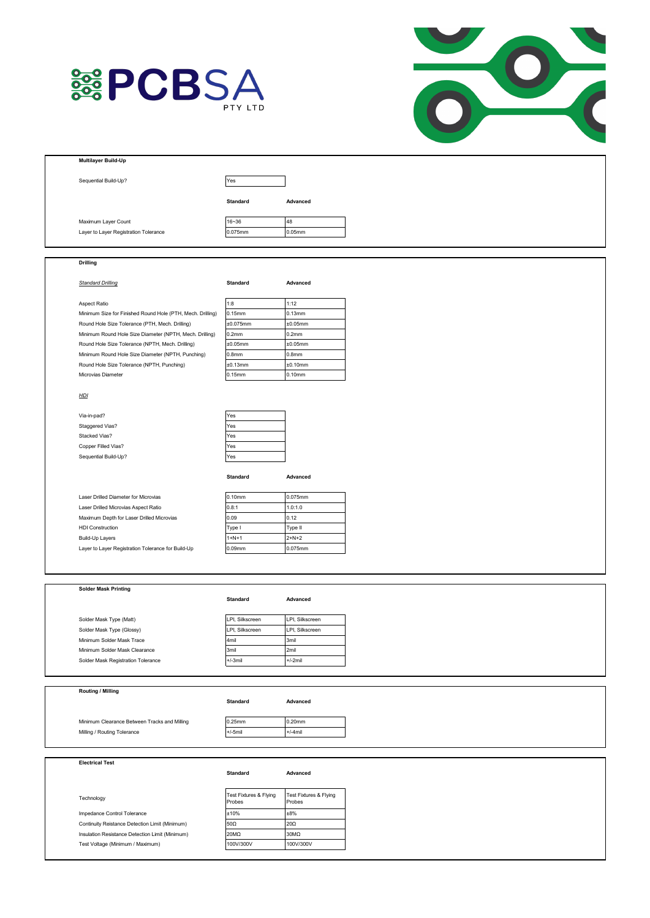

| Multilayer Build-Up                                                 |                    |                    |  |
|---------------------------------------------------------------------|--------------------|--------------------|--|
|                                                                     |                    |                    |  |
| Sequential Build-Up?                                                | Yes                |                    |  |
|                                                                     |                    |                    |  |
|                                                                     | <b>Standard</b>    | Advanced           |  |
|                                                                     |                    |                    |  |
| Maximum Layer Count                                                 | $16 - 36$          | 48                 |  |
| Layer to Layer Registration Tolerance                               | 0.075mm            | $0.05$ mm          |  |
|                                                                     |                    |                    |  |
|                                                                     |                    |                    |  |
| <b>Drilling</b>                                                     |                    |                    |  |
| <b>Standard Drilling</b>                                            | <b>Standard</b>    | Advanced           |  |
|                                                                     |                    |                    |  |
| Aspect Ratio                                                        | 1:8                | 1:12               |  |
| Minimum Size for Finished Round Hole (PTH, Mech. Drilling)          | 0.15mm             | 0.13mm             |  |
| Round Hole Size Tolerance (PTH, Mech. Drilling)                     | ±0.075mm           | ±0.05mm            |  |
| Minimum Round Hole Size Diameter (NPTH, Mech. Drilling)             | 0.2 <sub>mm</sub>  | $0.2$ mm           |  |
| Round Hole Size Tolerance (NPTH, Mech. Drilling)                    | ±0.05mm            | ±0.05mm            |  |
| Minimum Round Hole Size Diameter (NPTH, Punching)                   | 0.8 <sub>mm</sub>  | 0.8 <sub>mm</sub>  |  |
| Round Hole Size Tolerance (NPTH, Punching)                          | ±0.13mm            | ±0.10mm            |  |
| Microvias Diameter                                                  | $0.15$ mm          | $0.10$ mm          |  |
|                                                                     |                    |                    |  |
| H <sub>D1</sub>                                                     |                    |                    |  |
|                                                                     |                    |                    |  |
| Via-in-pad?                                                         | Yes                |                    |  |
| Staggered Vias?                                                     | Yes                |                    |  |
| Stacked Vias?                                                       | Yes                |                    |  |
| Copper Filled Vias?                                                 | Yes                |                    |  |
| Sequential Build-Up?                                                | Yes                |                    |  |
|                                                                     |                    |                    |  |
|                                                                     | <b>Standard</b>    | Advanced           |  |
| Laser Drilled Diameter for Microvias                                | 0.10mm             | 0.075mm            |  |
| Laser Drilled Microvias Aspect Ratio                                | 0.8:1              | 1.0:1.0            |  |
| Maximum Depth for Laser Drilled Microvias                           | 0.09               | 0.12               |  |
| <b>HDI Construction</b>                                             | Type I             | Type II            |  |
| <b>Build-Up Layers</b>                                              | $+N+1$             | $2 + N + 2$        |  |
| Layer to Layer Registration Tolerance for Build-Up                  | 0.09mm             | 0.075mm            |  |
|                                                                     |                    |                    |  |
|                                                                     |                    |                    |  |
|                                                                     |                    |                    |  |
| <b>Solder Mask Printing</b>                                         |                    |                    |  |
|                                                                     | <b>Standard</b>    | Advanced           |  |
|                                                                     |                    |                    |  |
| Solder Mask Type (Matt)                                             | LPI, Silkscreen    | LPI, Silkscreen    |  |
| Solder Mask Type (Glossy)                                           | LPI, Silkscreen    | LPI, Silkscreen    |  |
|                                                                     | 4mil               | 3mil               |  |
| Minimum Solder Mask Trace                                           |                    |                    |  |
| Minimum Solder Mask Clearance<br>Solder Mask Registration Tolerance | 3mil<br>$+/-3$ mil | 2mil<br>$+/-2$ mil |  |

#### ing / Milling

#### Standard Advanced

| Minimum Clearance Between Tracks and Milling | 0.25mm     | 0.20mm     |
|----------------------------------------------|------------|------------|
| Milling / Routing Tolerance                  | $+/-5$ mil | $+/-4$ mil |

#### Electrical Test

Standard **Advanced** 

| Test Fixtures & Flying<br>Probes | <b>Test Fixtures &amp; Flving</b><br>Probes |  |
|----------------------------------|---------------------------------------------|--|
| ±10%                             | ±8%                                         |  |
| $50\Omega$                       | $20\Omega$                                  |  |
| 20MQ                             | 30MO                                        |  |
| 100V/300V                        | 100V/300V                                   |  |
|                                  |                                             |  |